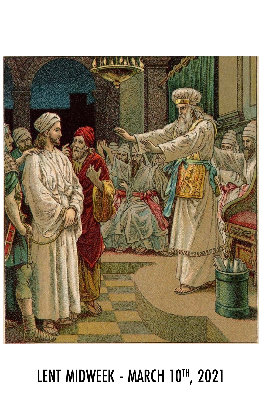## LENT MIDWEEK - MARCH 10TH, 2021

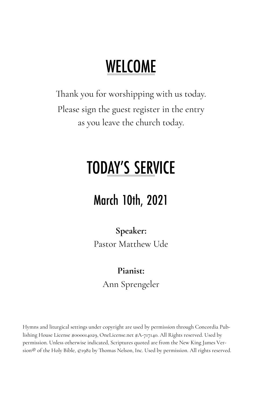## **WELCOME**

Thank you for worshipping with us today. Please sign the guest register in the entry as you leave the church today.

## **TODAY'S SERVICE**

#### **March 10th, 2021**

**Speaker:** Pastor Matthew Ude

#### **Pianist:**

Ann Sprengeler

Hymns and liturgical settings under copyright are used by permission through Concordia Publishing House License #000014029, OneLicense.net #A-717140. All Rights reserved. Used by permission. Unless otherwise indicated, Scriptures quoted are from the New King James Version® of the Holy Bible, ©1982 by Thomas Nelson, Inc. Used by permission. All rights reserved.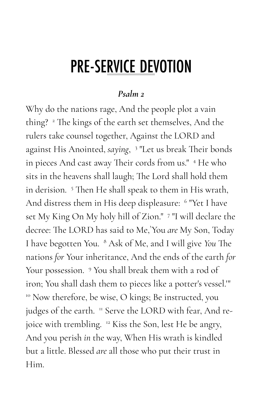### **PRE-SERVICE DEVOTION**

#### *Psalm 2*

Why do the nations rage, And the people plot a vain thing? <sup>2</sup> The kings of the earth set themselves, And the rulers take counsel together, Against the LORD and against His Anointed, *saying*, 3 "Let us break Their bonds in pieces And cast away Their cords from us." <sup>4</sup> He who sits in the heavens shall laugh; The Lord shall hold them in derision. <sup>5</sup> Then He shall speak to them in His wrath, And distress them in His deep displeasure: <sup>6</sup> "Yet I have set My King On My holy hill of Zion." <sup>7</sup> "I will declare the decree: The LORD has said to Me,`You *are* My Son, Today I have begotten You. <sup>8</sup> Ask of Me, and I will give *You* The nations *for* Your inheritance, And the ends of the earth *for*  Your possession. <sup>9</sup> You shall break them with a rod of iron; You shall dash them to pieces like a potter's vessel.'"  $10^{\circ}$  Now therefore, be wise, O kings; Be instructed, you judges of the earth. <sup>11</sup> Serve the LORD with fear, And rejoice with trembling. <sup>12</sup> Kiss the Son, lest He be angry, And you perish *in* the way, When His wrath is kindled but a little. Blessed *are* all those who put their trust in Him.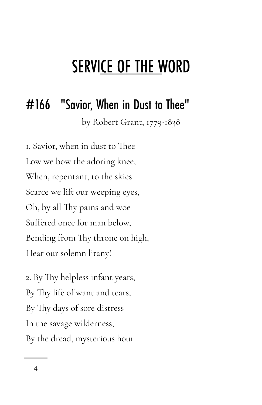### **SERVICE OF THE WORD**

#### "Savior, When in Dust to Thee" #166

by Robert Grant, 1779-1838

1. Savior, when in dust to Thee Low we bow the adoring knee, When, repentant, to the skies Scarce we lift our weeping eyes, Oh, by all Thy pains and woe Suffered once for man below, Bending from Thy throne on high, Hear our solemn litany!

2. By Thy helpless infant years, By Thy life of want and tears, By Thy days of sore distress In the savage wilderness, By the dread, mysterious hour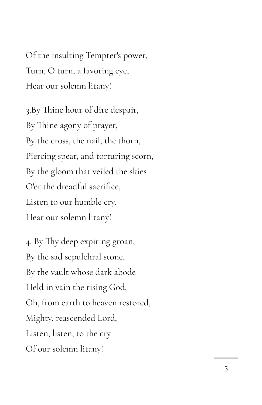Of the insulting Tempter's power, Turn, O turn, a favoring eye, Hear our solemn litany!

3.By Thine hour of dire despair, By Thine agony of prayer, By the cross, the nail, the thorn, Piercing spear, and torturing scorn, By the gloom that veiled the skies O'er the dreadful sacrifice, Listen to our humble cry, Hear our solemn litany!

4. By Thy deep expiring groan, By the sad sepulchral stone, By the vault whose dark abode Held in vain the rising God, Oh, from earth to heaven restored, Mighty, reascended Lord, Listen, listen, to the cry Of our solemn litany!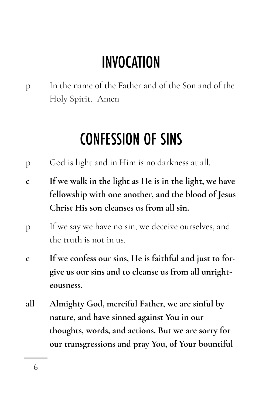## **INVOCATION**

p In the name of the Father and of the Son and of the Holy Spirit. Amen

### **CONFESSION OF SINS**

- p God is light and in Him is no darkness at all.
- **c If we walk in the light as He is in the light, we have fellowship with one another, and the blood of Jesus Christ His son cleanses us from all sin.**
- p If we say we have no sin, we deceive ourselves, and the truth is not in us.
- **c If we confess our sins, He is faithful and just to forgive us our sins and to cleanse us from all unrighteousness.**
- **all Almighty God, merciful Father, we are sinful by nature, and have sinned against You in our thoughts, words, and actions. But we are sorry for our transgressions and pray You, of Your bountiful**

6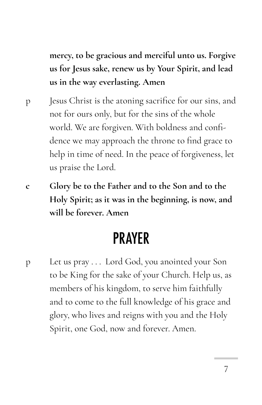**mercy, to be gracious and merciful unto us. Forgive us for Jesus sake, renew us by Your Spirit, and lead us in the way everlasting. Amen**

- p Jesus Christ is the atoning sacrifice for our sins, and not for ours only, but for the sins of the whole world. We are forgiven. With boldness and confidence we may approach the throne to find grace to help in time of need. In the peace of forgiveness, let us praise the Lord.
- **c Glory be to the Father and to the Son and to the Holy Spirit; as it was in the beginning, is now, and will be forever. Amen**

#### **PRAYER**

p Let us pray . . . Lord God, you anointed your Son to be King for the sake of your Church. Help us, as members of his kingdom, to serve him faithfully and to come to the full knowledge of his grace and glory, who lives and reigns with you and the Holy Spirit, one God, now and forever. Amen.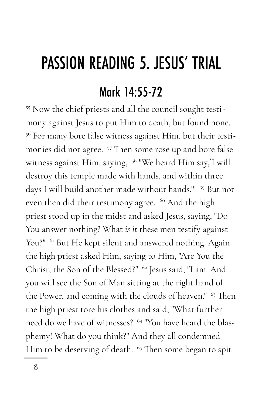# **PASSION READING 5. JESUS' TRIAL** Mark 14:55-72

<sup>55</sup> Now the chief priests and all the council sought testimony against Jesus to put Him to death, but found none. <sup>56</sup> For many bore false witness against Him, but their testimonies did not agree. <sup>57</sup> Then some rose up and bore false witness against Him, saying, <sup>58</sup> "We heard Him say,`I will destroy this temple made with hands, and within three days I will build another made without hands." <sup>59</sup> But not even then did their testimony agree. <sup>60</sup> And the high priest stood up in the midst and asked Jesus, saying, "Do You answer nothing? What *is it* these men testify against You?" <sup>61</sup> But He kept silent and answered nothing. Again the high priest asked Him, saying to Him, "Are You the Christ, the Son of the Blessed?" <sup>62</sup> Jesus said, "I am. And you will see the Son of Man sitting at the right hand of the Power, and coming with the clouds of heaven." <sup>63</sup> Then the high priest tore his clothes and said, "What further need do we have of witnesses? <sup>64</sup> "You have heard the blasphemy! What do you think?" And they all condemned Him to be deserving of death. <sup>65</sup> Then some began to spit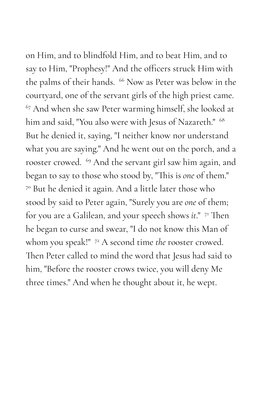on Him, and to blindfold Him, and to beat Him, and to say to Him, "Prophesy!" And the officers struck Him with the palms of their hands. <sup>66</sup> Now as Peter was below in the courtyard, one of the servant girls of the high priest came. <sup>67</sup> And when she saw Peter warming himself, she looked at him and said, "You also were with Jesus of Nazareth." 68 But he denied it, saying, "I neither know nor understand what you are saying." And he went out on the porch, and a rooster crowed. <sup>69</sup> And the servant girl saw him again, and began to say to those who stood by, "This is *one* of them." <sup>70</sup> But he denied it again. And a little later those who stood by said to Peter again, "Surely you are *one* of them; for you are a Galilean, and your speech shows *it*." <sup>71</sup> Then he began to curse and swear, "I do not know this Man of whom you speak!" <sup>72</sup> A second time *the* rooster crowed. Then Peter called to mind the word that Jesus had said to him, "Before the rooster crows twice, you will deny Me three times." And when he thought about it, he wept.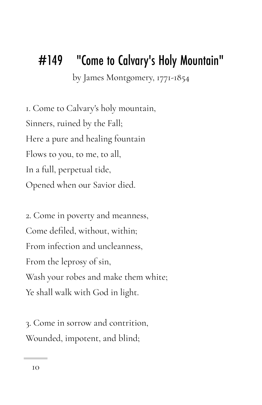#### "Come to Calvary's Holy Mountain" #149

by James Montgomery, 1771-1854

1. Come to Calvary's holy mountain, Sinners, ruined by the Fall; Here a pure and healing fountain Flows to you, to me, to all, In a full, perpetual tide, Opened when our Savior died.

2. Come in poverty and meanness, Come defiled, without, within; From infection and uncleanness, From the leprosy of sin, Wash your robes and make them white; Ye shall walk with God in light.

3. Come in sorrow and contrition, Wounded, impotent, and blind;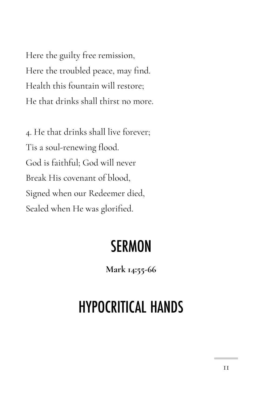Here the guilty free remission, Here the troubled peace, may find. Health this fountain will restore; He that drinks shall thirst no more.

4. He that drinks shall live forever; Tis a soul-renewing flood. God is faithful; God will never Break His covenant of blood, Signed when our Redeemer died, Sealed when He was glorified.

#### **SERMON**

**Mark 14:55-66** 

### **HYPOCRITICAL HANDS**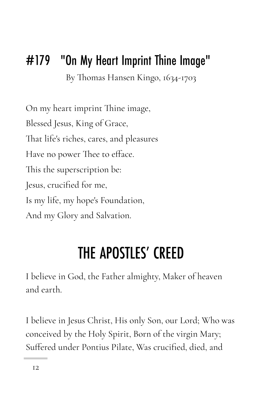#### #179 "On My Heart Imprint Thine Image"

By Thomas Hansen Kingo, 1634-1703

On my heart imprint Thine image, Blessed Jesus, King of Grace, That life's riches, cares, and pleasures Have no power Thee to efface. This the superscription be: Jesus, crucified for me, Is my life, my hope's Foundation, And my Glory and Salvation.

### THE APOSTLES' CREED

I believe in God, the Father almighty, Maker of heaven and earth.

I believe in Jesus Christ, His only Son, our Lord; Who was conceived by the Holy Spirit, Born of the virgin Mary; Suffered under Pontius Pilate, Was crucified, died, and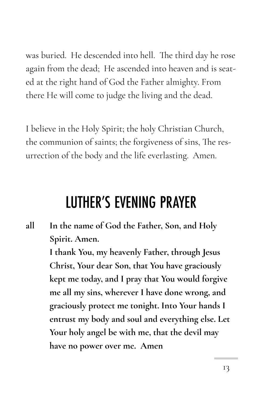was buried. He descended into hell. The third day he rose again from the dead; He ascended into heaven and is seated at the right hand of God the Father almighty. From there He will come to judge the living and the dead.

I believe in the Holy Spirit; the holy Christian Church, the communion of saints; the forgiveness of sins, The resurrection of the body and the life everlasting. Amen.

#### **LUTHER'S EVENING PRAYER**

**all In the name of God the Father, Son, and Holy Spirit. Amen.**

> **I thank You, my heavenly Father, through Jesus Christ, Your dear Son, that You have graciously kept me today, and I pray that You would forgive me all my sins, wherever I have done wrong, and graciously protect me tonight. Into Your hands I entrust my body and soul and everything else. Let Your holy angel be with me, that the devil may have no power over me. Amen**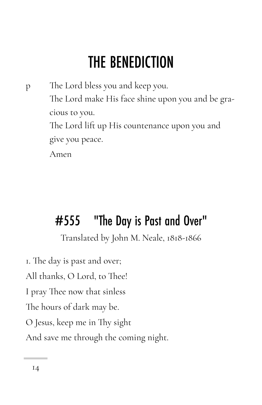## **THE BENEDICTION**

p The Lord bless you and keep you. The Lord make His face shine upon you and be gracious to you. The Lord lift up His countenance upon you and give you peace. Amen

#### #555 "The Day is Past and Over"

Translated by John M. Neale, 1818-1866

1. The day is past and over; All thanks, O Lord, to Thee! I pray Thee now that sinless The hours of dark may be. O Jesus, keep me in Thy sight And save me through the coming night.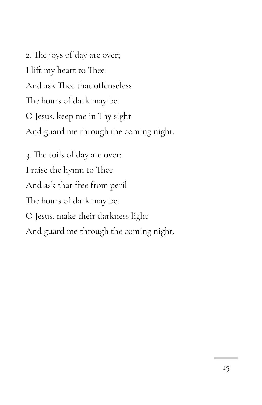2. The joys of day are over; I lift my heart to Thee And ask Thee that offenseless The hours of dark may be. O Jesus, keep me in Thy sight And guard me through the coming night.

3. The toils of day are over: I raise the hymn to Thee And ask that free from peril The hours of dark may be. O Jesus, make their darkness light And guard me through the coming night.